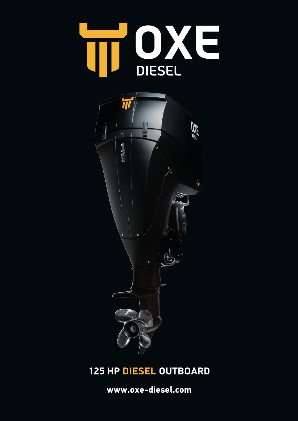



# **125 HP DIESEL OUTBOARD**

**www.oxe-diesel.com**